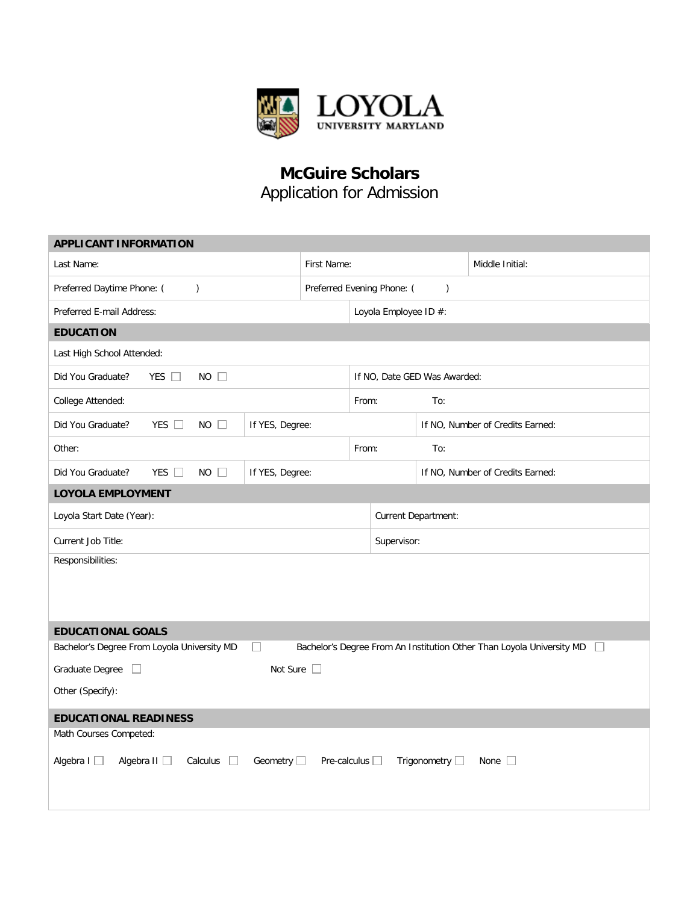

## **McGuire Scholars** Application for Admission

| <b>APPLICANT INFORMATION</b>                                                                                                            |                              |                                             |                     |                                  |                 |  |  |
|-----------------------------------------------------------------------------------------------------------------------------------------|------------------------------|---------------------------------------------|---------------------|----------------------------------|-----------------|--|--|
| Last Name:                                                                                                                              |                              | First Name:                                 |                     |                                  | Middle Initial: |  |  |
| Preferred Daytime Phone: (<br>$\mathcal{L}$                                                                                             |                              | Preferred Evening Phone: (<br>$\mathcal{E}$ |                     |                                  |                 |  |  |
| Preferred E-mail Address:                                                                                                               |                              | Loyola Employee ID #:                       |                     |                                  |                 |  |  |
| <b>EDUCATION</b>                                                                                                                        |                              |                                             |                     |                                  |                 |  |  |
| Last High School Attended:                                                                                                              |                              |                                             |                     |                                  |                 |  |  |
| $NO$ $\Box$<br>Did You Graduate?<br>YES $\Box$                                                                                          | If NO, Date GED Was Awarded: |                                             |                     |                                  |                 |  |  |
| College Attended:                                                                                                                       | From:                        |                                             | To:                 |                                  |                 |  |  |
| Did You Graduate?<br>YES $\square$<br>NO<br>$\Box$                                                                                      | If YES, Degree:              |                                             |                     | If NO, Number of Credits Earned: |                 |  |  |
| Other:                                                                                                                                  |                              |                                             | From:               | To:                              |                 |  |  |
| YES $\square$<br>$NO$ $\Box$<br>Did You Graduate?                                                                                       | If YES, Degree:              |                                             |                     | If NO, Number of Credits Earned: |                 |  |  |
| <b>LOYOLA EMPLOYMENT</b>                                                                                                                |                              |                                             |                     |                                  |                 |  |  |
| Loyola Start Date (Year):                                                                                                               |                              |                                             | Current Department: |                                  |                 |  |  |
| Current Job Title:                                                                                                                      |                              |                                             | Supervisor:         |                                  |                 |  |  |
| Responsibilities:                                                                                                                       |                              |                                             |                     |                                  |                 |  |  |
|                                                                                                                                         |                              |                                             |                     |                                  |                 |  |  |
|                                                                                                                                         |                              |                                             |                     |                                  |                 |  |  |
| <b>EDUCATIONAL GOALS</b>                                                                                                                |                              |                                             |                     |                                  |                 |  |  |
| Bachelor's Degree From An Institution Other Than Loyola University MD<br>Bachelor's Degree From Loyola University MD                    |                              |                                             |                     |                                  |                 |  |  |
| Not Sure $\square$<br>Graduate Degree $\Box$                                                                                            |                              |                                             |                     |                                  |                 |  |  |
| Other (Specify):                                                                                                                        |                              |                                             |                     |                                  |                 |  |  |
| <b>EDUCATIONAL READINESS</b>                                                                                                            |                              |                                             |                     |                                  |                 |  |  |
| Math Courses Competed:                                                                                                                  |                              |                                             |                     |                                  |                 |  |  |
| Algebra I<br>Algebra $II$ $\Box$<br>Calculus $\square$<br>Geometry $\square$<br>Pre-calculus $\Box$<br>Trigonometry $\Box$<br>None $  $ |                              |                                             |                     |                                  |                 |  |  |
|                                                                                                                                         |                              |                                             |                     |                                  |                 |  |  |
|                                                                                                                                         |                              |                                             |                     |                                  |                 |  |  |